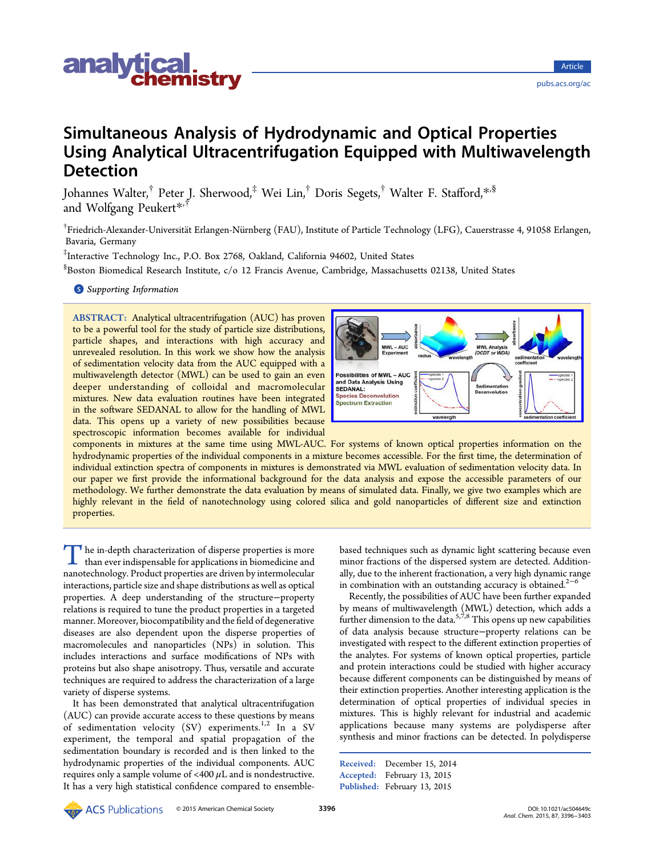# Simultaneous Analysis of Hydrodynamic and Optical Properties Using Analytical Ultracentrifugation Equipped with Multiwavelength **Detection**

Johannes Walter,<sup>†</sup> Peter J. Sherwood,<sup>‡</sup> Wei Lin,<sup>†</sup> Doris Segets,<sup>†</sup> Walter F. Stafford,\*<sup>,\$</sup> and Wolfgang Peukert\*,<sup>†</sup>

 $^\dagger$ Friedrich-Alexander-Univer[sit](#page-7-0)ät Erlangen-Nürnberg (FAU), Institute of Particle Technology (LFG), Cauerstrasse 4, 91058 Erlangen, Bavaria, Germany

‡ Interactive Technology Inc., P.O. Box 2768, Oakland, California 94602, United States

§ Boston Biomedical Research Institute, c/o 12 Francis Avenue, Cambridge, Massachusetts 02138, United States

**S** Supporting Information

[AB](#page-7-0)STRACT: [Analytical ultr](#page-7-0)acentrifugation (AUC) has proven to be a powerful tool for the study of particle size distributions, particle shapes, and interactions with high accuracy and unrevealed resolution. In this work we show how the analysis of sedimentation velocity data from the AUC equipped with a multiwavelength detector (MWL) can be used to gain an even deeper understanding of colloidal and macromolecular mixtures. New data evaluation routines have been integrated in the software SEDANAL to allow for the handling of MWL data. This opens up a variety of new possibilities because spectroscopic information becomes available for individual



components in mixtures at the same time using MWL-AUC. [For systems of known optical properties information on the](http://pubs.acs.org/action/showImage?doi=10.1021/ac504649c&iName=master.img-000.jpg&w=235&h=102) hydrodynamic properties of the individual components in a mixture becomes accessible. For the first time, the determination of individual extinction spectra of components in mixtures is demonstrated via MWL evaluation of sedimentation velocity data. In our paper we first provide the informational background for the data analysis and expose the accessible parameters of our methodology. We further demonstrate the data evaluation by means of simulated data. Finally, we give two examples which are highly relevant in the field of nanotechnology using colored silica and gold nanoparticles of different size and extinction properties.

The in-depth characterization of disperse properties is more<br>than ever indispensable for applications in biomedicine and<br>nonpatable below. But determined and diverse by intermal application nanotechnology. Product properties are driven by intermolecular interactions, particle size and shape distributions as well as optical properties. A deep understanding of the structure−property relations is required to tune the product properties in a targeted manner. Moreover, biocompatibility and the field of degenerative diseases are also dependent upon the disperse properties of macromolecules and nanoparticles (NPs) in solution. This includes interactions and surface modifications of NPs with proteins but also shape anisotropy. Thus, versatile and accurate techniques are required to address the characterization of a large variety of disperse systems.

It has been demonstrated that analytical ultracentrifugation (AUC) can provide accurate access to these questions by means of sedimentation velocity (SV) experiments.<sup>1,2</sup> In a SV experiment, the temporal and spatial propagation of the sedimentation boundary is recorded and is then [lin](#page-7-0)ked to the hydrodynamic properties of the individual components. AUC requires only a sample volume of  $\langle 400 \mu L$  and is nondestructive. It has a very high statistical confidence compared to ensemblebased techniques such as dynamic light scattering because even minor fractions of the dispersed system are detected. Additionally, due to the inherent fractionation, a very high dynamic range in combination with an outstanding accuracy is obtained.<sup>2−6</sup>

Recently, the possibilities of AUC have been further expanded by means of multiwavelength (MWL) detection, which [a](#page-7-0)d[d](#page-7-0)s a further dimension to the data.<sup>5,7,8</sup> This opens up new capabilities of data analysis because structure−property relations can be investigated with respect to t[he di](#page-7-0)fferent extinction properties of the analytes. For systems of known optical properties, particle and protein interactions could be studied with higher accuracy because different components can be distinguished by means of their extinction properties. Another interesting application is the determination of optical properties of individual species in mixtures. This is highly relevant for industrial and academic applications because many systems are polydisperse after synthesis and minor fractions can be detected. In polydisperse

Received: December 15, 2014 Accepted: February 13, 2015 Published: February 13, 2015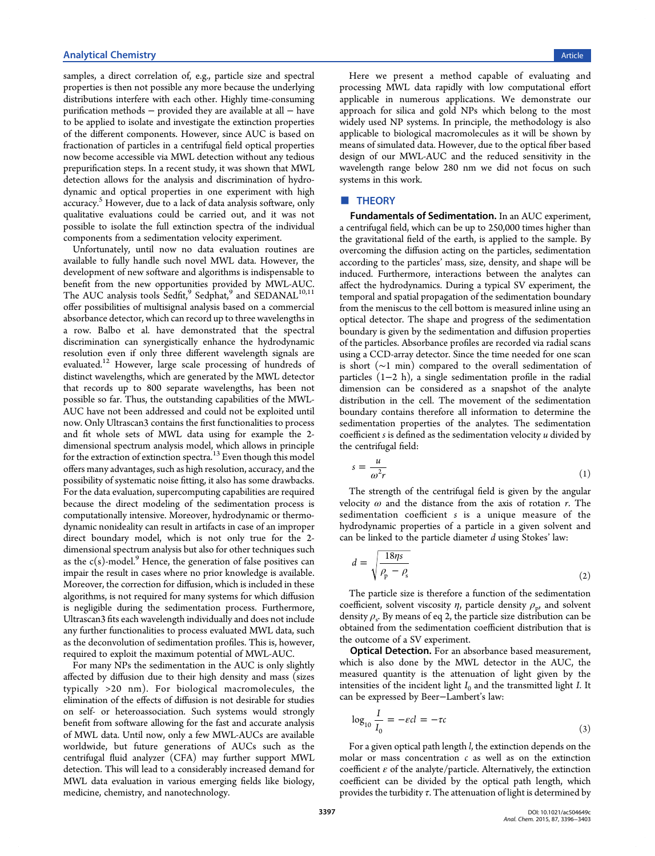samples, a direct correlation of, e.g., particle size and spectral properties is then not possible any more because the underlying distributions interfere with each other. Highly time-consuming purification methods − provided they are available at all − have to be applied to isolate and investigate the extinction properties of the different components. However, since AUC is based on fractionation of particles in a centrifugal field optical properties now become accessible via MWL detection without any tedious prepurification steps. In a recent study, it was shown that MWL detection allows for the analysis and discrimination of hydrodynamic and optical properties in one experiment with high accuracy.<sup>5</sup> However, due to a lack of data analysis software, only qualitative evaluations could be carried out, and it was not possible [to](#page-7-0) isolate the full extinction spectra of the individual components from a sedimentation velocity experiment.

Unfortunately, until now no data evaluation routines are available to fully handle such novel MWL data. However, the development of new software and algorithms is indispensable to benefit from the new opportunities provided by MWL-AUC. The AUC analysis tools Sedfit,<sup>9</sup> Sedphat,<sup>9</sup> and SEDANAL<sup>10,11</sup> offer possibilities of multisignal analysis based on a commercial absorbance detector, which can [re](#page-7-0)cord up t[o](#page-7-0) three wavelengt[hs in](#page-7-0) a row. Balbo et al. have demonstrated that the spectral discrimination can synergistically enhance the hydrodynamic resolution even if only three different wavelength signals are evaluated.<sup>12</sup> However, large scale processing of hundreds of distinct wavelengths, which are generated by the MWL detector that reco[rds](#page-7-0) up to 800 separate wavelengths, has been not possible so far. Thus, the outstanding capabilities of the MWL-AUC have not been addressed and could not be exploited until now. Only Ultrascan3 contains the first functionalities to process and fit whole sets of MWL data using for example the 2 dimensional spectrum analysis model, which allows in principle for the extraction of extinction spectra.<sup>13</sup> Even though this model offers many advantages, such as high resolution, accuracy, and the possibility of systematic noise fitting, i[t a](#page-7-0)lso has some drawbacks. For the data evaluation, supercomputing capabilities are required because the direct modeling of the sedimentation process is computationally intensive. Moreover, hydrodynamic or thermodynamic nonideality can result in artifacts in case of an improper direct boundary model, which is not only true for the 2 dimensional spectrum analysis but also for other techniques such as the  $c(s)$ -model.<sup>9</sup> Hence, the generation of false positives can impair the result in cases where no prior knowledge is available. Moreover, the cor[re](#page-7-0)ction for diffusion, which is included in these algorithms, is not required for many systems for which diffusion is negligible during the sedimentation process. Furthermore, Ultrascan3 fits each wavelength individually and does not include any further functionalities to process evaluated MWL data, such as the deconvolution of sedimentation profiles. This is, however, required to exploit the maximum potential of MWL-AUC.

For many NPs the sedimentation in the AUC is only slightly affected by diffusion due to their high density and mass (sizes typically >20 nm). For biological macromolecules, the elimination of the effects of diffusion is not desirable for studies on self- or heteroassociation. Such systems would strongly benefit from software allowing for the fast and accurate analysis of MWL data. Until now, only a few MWL-AUCs are available worldwide, but future generations of AUCs such as the centrifugal fluid analyzer (CFA) may further support MWL detection. This will lead to a considerably increased demand for MWL data evaluation in various emerging fields like biology, medicine, chemistry, and nanotechnology.

Here we present a method capable of evaluating and processing MWL data rapidly with low computational effort applicable in numerous applications. We demonstrate our approach for silica and gold NPs which belong to the most widely used NP systems. In principle, the methodology is also applicable to biological macromolecules as it will be shown by means of simulated data. However, due to the optical fiber based design of our MWL-AUC and the reduced sensitivity in the wavelength range below 280 nm we did not focus on such systems in this work.

#### ■ THEORY

Fundamentals of Sedimentation. In an AUC experiment, a centrifugal field, which can be up to 250,000 times higher than the gravitational field of the earth, is applied to the sample. By overcoming the diffusion acting on the particles, sedimentation according to the particles' mass, size, density, and shape will be induced. Furthermore, interactions between the analytes can affect the hydrodynamics. During a typical SV experiment, the temporal and spatial propagation of the sedimentation boundary from the meniscus to the cell bottom is measured inline using an optical detector. The shape and progress of the sedimentation boundary is given by the sedimentation and diffusion properties of the particles. Absorbance profiles are recorded via radial scans using a CCD-array detector. Since the time needed for one scan is short (∼1 min) compared to the overall sedimentation of particles (1−2 h), a single sedimentation profile in the radial dimension can be considered as a snapshot of the analyte distribution in the cell. The movement of the sedimentation boundary contains therefore all information to determine the sedimentation properties of the analytes. The sedimentation coefficient  $s$  is defined as the sedimentation velocity  $u$  divided by the centrifugal field:

$$
s = \frac{u}{\omega^2 r} \tag{1}
$$

The strength of the centrifugal field is given by the angular velocity  $\omega$  and the distance from the axis of rotation  $r$ . The sedimentation coefficient s is a unique measure of the hydrodynamic properties of a particle in a given solvent and can be linked to the particle diameter  $d$  using Stokes' law:

$$
d = \sqrt{\frac{18\eta s}{\rho_{\rm p} - \rho_{\rm s}}} \tag{2}
$$

The particle size is therefore a function of the sedimentation coefficient, solvent viscosity  $\eta$ , particle density  $\rho_p$ , and solvent density  $\rho_s$ . By means of eq 2, the particle size distribution can be obtained from the sedimentation coefficient distribution that is the outcome of a SV experiment.

**Optical Detection.** For an absorbance based measurement, which is also done by the MWL detector in the AUC, the measured quantity is the attenuation of light given by the intensities of the incident light  $I_0$  and the transmitted light I. It can be expressed by Beer−Lambert's law:

$$
\log_{10} \frac{I}{I_0} = -\varepsilon c l = -\tau c \tag{3}
$$

For a given optical path length l, the extinction depends on the molar or mass concentration  $c$  as well as on the extinction coefficient  $\varepsilon$  of the analyte/particle. Alternatively, the extinction coefficient can be divided by the optical path length, which provides the turbidity  $\tau$ . The attenuation of light is determined by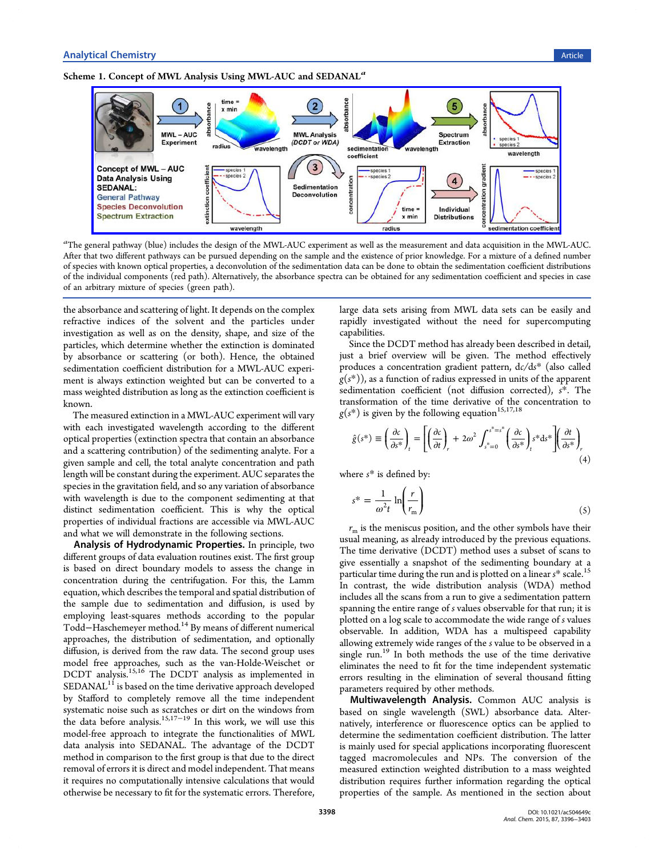<span id="page-2-0"></span>Scheme 1. Concept of MWL Analysis Using MWL-AUC and SEDANAL<sup>a</sup>



 $^a$ The ge[neral pathway \(blue\) includes the design of the MWL-AUC experiment as well as the measurement and data acquisition in the MW](http://pubs.acs.org/action/showImage?doi=10.1021/ac504649c&iName=master.img-001.jpg&w=443&h=136)L-AUC. After that two different pathways can be pursued depending on the sample and the existence of prior knowledge. For a mixture of a defined number of species with known optical properties, a deconvolution of the sedimentation data can be done to obtain the sedimentation coefficient distributions of the individual components (red path). Alternatively, the absorbance spectra can be obtained for any sedimentation coefficient and species in case of an arbitrary mixture of species (green path).

the absorbance and scattering of light. It depends on the complex refractive indices of the solvent and the particles under investigation as well as on the density, shape, and size of the particles, which determine whether the extinction is dominated by absorbance or scattering (or both). Hence, the obtained sedimentation coefficient distribution for a MWL-AUC experiment is always extinction weighted but can be converted to a mass weighted distribution as long as the extinction coefficient is known.

The measured extinction in a MWL-AUC experiment will vary with each investigated wavelength according to the different optical properties (extinction spectra that contain an absorbance and a scattering contribution) of the sedimenting analyte. For a given sample and cell, the total analyte concentration and path length will be constant during the experiment. AUC separates the species in the gravitation field, and so any variation of absorbance with wavelength is due to the component sedimenting at that distinct sedimentation coefficient. This is why the optical properties of individual fractions are accessible via MWL-AUC and what we will demonstrate in the following sections.

Analysis of Hydrodynamic Properties. In principle, two different groups of data evaluation routines exist. The first group is based on direct boundary models to assess the change in concentration during the centrifugation. For this, the Lamm equation, which describes the temporal and spatial distribution of the sample due to sedimentation and diffusion, is used by employing least-squares methods according to the popular Todd−Haschemeyer method.<sup>14</sup> By means of different numerical approaches, the distribution of sedimentation, and optionally diffusion, is derived from the [ra](#page-7-0)w data. The second group uses model free approaches, such as the van-Holde-Weischet or DCDT analysis.<sup>15,16</sup> The DCDT analysis as implemented in  $\rm SEDANAL$   $^{11}$  is based on the time derivative approach developed by Stafford to [com](#page-7-0)pletely remove all the time independent systematic [no](#page-7-0)ise such as scratches or dirt on the windows from the data before analysis.<sup>15,17-19</sup> In this work, we will use this model-free approach to integrate the functionalities of MWL data analysis into SED[ANAL.](#page-7-0) The advantage of the DCDT method in comparison to the first group is that due to the direct removal of errors it is direct and model independent. That means it requires no computationally intensive calculations that would otherwise be necessary to fit for the systematic errors. Therefore,

large data sets arising from MWL data sets can be easily and rapidly investigated without the need for supercomputing capabilities.

Since the DCDT method has already been described in detail, just a brief overview will be given. The method effectively produces a concentration gradient pattern, dc/ds\* (also called  $g(s^*))$ , as a function of radius expressed in units of the apparent sedimentation coefficient (not diffusion corrected), s\*. The transformation of the time derivative of the concentration to  $g(s^*)$  is given by the following equation<sup>15,17,18</sup>

$$
\hat{g}(s^*) \equiv \left(\frac{\partial c}{\partial s^*}\right)_t = \left[\left(\frac{\partial c}{\partial t}\right)_r + 2\omega^2 \int_{s^* = 0}^{s^* = s^*} \left(\frac{\partial c}{\partial s^*}\right)_t s^* ds^* \right] \left(\frac{\partial t}{\partial s^*}\right)_r
$$
\n(4)

where  $s^*$  is defined by:

$$
s^* = \frac{1}{\omega^2 t} \ln \left( \frac{r}{r_m} \right) \tag{5}
$$

 $r<sub>m</sub>$  is the meniscus position, and the other symbols have their usual meaning, as already introduced by the previous equations. The time derivative (DCDT) method uses a subset of scans to give essentially a snapshot of the sedimenting boundary at a particular time during the run and is plotted on a linear  $s^*$  scale.<sup>15</sup> In contrast, the wide distribution analysis (WDA) method includes all the scans from a run to give a sedimentation patte[rn](#page-7-0) spanning the entire range of s values observable for that run; it is plotted on a log scale to accommodate the wide range of s values observable. In addition, WDA has a multispeed capability allowing extremely wide ranges of the s value to be observed in a single run.<sup>19</sup> In both methods the use of the time derivative eliminates the need to fit for the time independent systematic errors res[ulti](#page-7-0)ng in the elimination of several thousand fitting parameters required by other methods.

Multiwavelength Analysis. Common AUC analysis is based on single wavelength (SWL) absorbance data. Alternatively, interference or fluorescence optics can be applied to determine the sedimentation coefficient distribution. The latter is mainly used for special applications incorporating fluorescent tagged macromolecules and NPs. The conversion of the measured extinction weighted distribution to a mass weighted distribution requires further information regarding the optical properties of the sample. As mentioned in the section about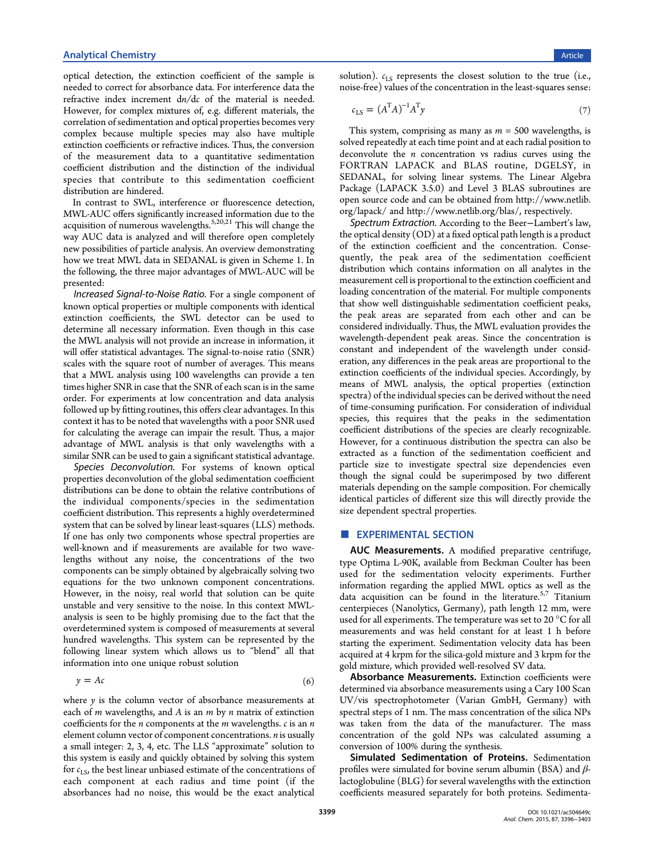optical detection, the extinction coefficient of the sample is needed to correct for absorbance data. For interference data the refractive index increment dn/dc of the material is needed. However, for complex mixtures of, e.g. different materials, the correlation of sedimentation and optical properties becomes very complex because multiple species may also have multiple extinction coefficients or refractive indices. Thus, the conversion of the measurement data to a quantitative sedimentation coefficient distribution and the distinction of the individual species that contribute to this sedimentation coefficient distribution are hindered.

In contrast to SWL, interference or fluorescence detection, MWL-AUC offers significantly increased information due to the acquisition of numerous wavelengths.<sup>5,20,21</sup> This will change the way AUC data is analyzed and will therefore open completely new possibilities of particle analysis. [An ove](#page-7-0)rview demonstrating how we treat MWL data in SEDANAL is given in Scheme 1. In the following, the three major advantages of MWL-AUC will be presented:

Increased Signal-to-Noise Ratio. For a single compone[nt](#page-2-0) of known optical properties or multiple components with identical extinction coefficients, the SWL detector can be used to determine all necessary information. Even though in this case the MWL analysis will not provide an increase in information, it will offer statistical advantages. The signal-to-noise ratio (SNR) scales with the square root of number of averages. This means that a MWL analysis using 100 wavelengths can provide a ten times higher SNR in case that the SNR of each scan is in the same order. For experiments at low concentration and data analysis followed up by fitting routines, this offers clear advantages. In this context it has to be noted that wavelengths with a poor SNR used for calculating the average can impair the result. Thus, a major advantage of MWL analysis is that only wavelengths with a similar SNR can be used to gain a significant statistical advantage.

Species Deconvolution. For systems of known optical properties deconvolution of the global sedimentation coefficient distributions can be done to obtain the relative contributions of the individual components/species in the sedimentation coefficient distribution. This represents a highly overdetermined system that can be solved by linear least-squares (LLS) methods. If one has only two components whose spectral properties are well-known and if measurements are available for two wavelengths without any noise, the concentrations of the two components can be simply obtained by algebraically solving two equations for the two unknown component concentrations. However, in the noisy, real world that solution can be quite unstable and very sensitive to the noise. In this context MWLanalysis is seen to be highly promising due to the fact that the overdetermined system is composed of measurements at several hundred wavelengths. This system can be represented by the following linear system which allows us to "blend" all that information into one unique robust solution

$$
y = Ac \tag{6}
$$

where  $y$  is the column vector of absorbance measurements at each of  $m$  wavelengths, and  $A$  is an  $m$  by  $n$  matrix of extinction coefficients for the  $n$  components at the  $m$  wavelengths.  $c$  is an  $n$ element column vector of component concentrations. n is usually a small integer: 2, 3, 4, etc. The LLS "approximate" solution to this system is easily and quickly obtained by solving this system for  $c_{LS}$ , the best linear unbiased estimate of the concentrations of each component at each radius and time point (if the absorbances had no noise, this would be the exact analytical

solution).  $c_{LS}$  represents the closest solution to the true (i.e., noise-free) values of the concentration in the least-squares sense:

$$
c_{LS} = (A^{\mathrm{T}}A)^{-1}A^{\mathrm{T}}y\tag{7}
$$

This system, comprising as many as  $m = 500$  wavelengths, is solved repeatedly at each time point and at each radial position to deconvolute the  $n$  concentration vs radius curves using the FORTRAN LAPACK and BLAS routine, DGELSY, in SEDANAL, for solving linear systems. The Linear Algebra Package (LAPACK 3.5.0) and Level 3 BLAS subroutines are open source code and can be obtained from http://www.netlib. org/lapack/ and http://www.netlib.org/blas/, respectively.

Spectrum Extraction. According to the Beer−Lambert's law, [the optical d](http://www.netlib.org/lapack/)ensity (OD) at a fi[xed optical path](http://www.netlib.org/blas/) [length](http://www.netlib.org/lapack/) [is](http://www.netlib.org/lapack/) [a](http://www.netlib.org/lapack/) [product](http://www.netlib.org/lapack/) of the extinction coefficient and the concentration. Consequently, the peak area of the sedimentation coefficient distribution which contains information on all analytes in the measurement cell is proportional to the extinction coefficient and loading concentration of the material. For multiple components that show well distinguishable sedimentation coefficient peaks, the peak areas are separated from each other and can be considered individually. Thus, the MWL evaluation provides the wavelength-dependent peak areas. Since the concentration is constant and independent of the wavelength under consideration, any differences in the peak areas are proportional to the extinction coefficients of the individual species. Accordingly, by means of MWL analysis, the optical properties (extinction spectra) of the individual species can be derived without the need of time-consuming purification. For consideration of individual species, this requires that the peaks in the sedimentation coefficient distributions of the species are clearly recognizable. However, for a continuous distribution the spectra can also be extracted as a function of the sedimentation coefficient and particle size to investigate spectral size dependencies even though the signal could be superimposed by two different materials depending on the sample composition. For chemically identical particles of different size this will directly provide the size dependent spectral properties.

#### **EXPERIMENTAL SECTION**

AUC Measurements. A modified preparative centrifuge, type Optima L-90K, available from Beckman Coulter has been used for the sedimentation velocity experiments. Further information regarding the applied MWL optics as well as the data acquisition can be found in the literature.<sup>5,7</sup> Titanium centerpieces (Nanolytics, Germany), path length 12 mm, were used for all experiments. The temperature was set t[o](#page-7-0) [2](#page-7-0)0 °C for all measurements and was held constant for at least 1 h before starting the experiment. Sedimentation velocity data has been acquired at 4 krpm for the silica-gold mixture and 3 krpm for the gold mixture, which provided well-resolved SV data.

Absorbance Measurements. Extinction coefficients were determined via absorbance measurements using a Cary 100 Scan UV/vis spectrophotometer (Varian GmbH, Germany) with spectral steps of 1 nm. The mass concentration of the silica NPs was taken from the data of the manufacturer. The mass concentration of the gold NPs was calculated assuming a conversion of 100% during the synthesis.

Simulated Sedimentation of Proteins. Sedimentation profiles were simulated for bovine serum albumin (BSA) and  $\beta$ lactoglobuline (BLG) for several wavelengths with the extinction coefficients measured separately for both proteins. Sedimenta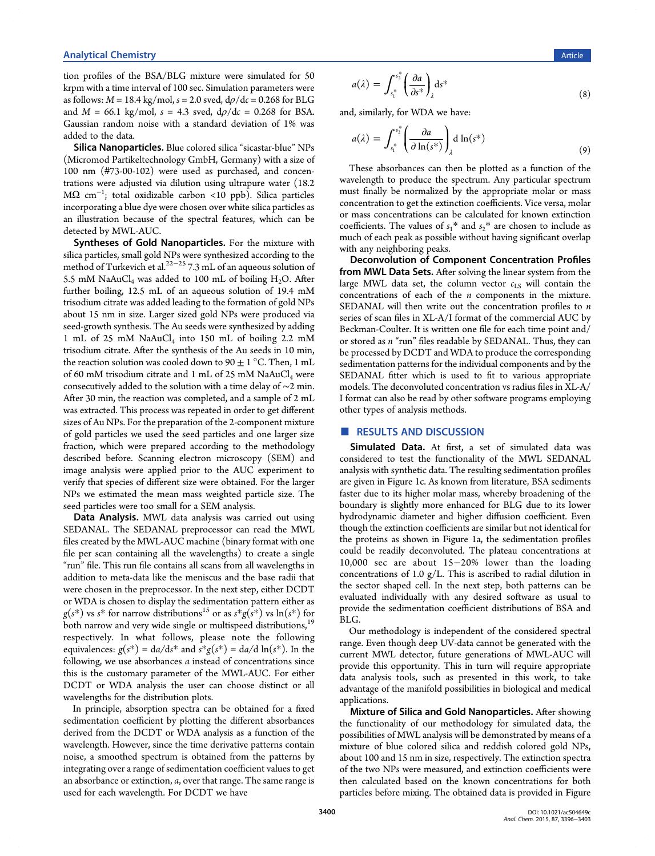tion profiles of the BSA/BLG mixture were simulated for 50 krpm with a time interval of 100 sec. Simulation parameters were as follows:  $M = 18.4$  kg/mol,  $s = 2.0$  sved,  $d\rho/dc = 0.268$  for BLG and  $M = 66.1$  kg/mol,  $s = 4.3$  sved,  $d\rho/dc = 0.268$  for BSA. Gaussian random noise with a standard deviation of 1% was added to the data.

Silica Nanoparticles. Blue colored silica "sicastar-blue" NPs (Micromod Partikeltechnology GmbH, Germany) with a size of 100 nm (#73-00-102) were used as purchased, and concentrations were adjusted via dilution using ultrapure water (18.2 MΩ cm $^{-1}$ ; total oxidizable carbon <10 ppb). Silica particles incorporating a blue dye were chosen over white silica particles as an illustration because of the spectral features, which can be detected by MWL-AUC.

Syntheses of Gold Nanoparticles. For the mixture with silica particles, small gold NPs were synthesized according to the method of Turkevich et al.<sup>22-25</sup> 7.3 mL of an aqueous solution of 5.5 mM NaAuCl<sub>4</sub> was added to 100 mL of boiling H<sub>2</sub>O. After further boiling, 12.5 mL [of an](#page-7-0) aqueous solution of 19.4 mM trisodium citrate was added leading to the formation of gold NPs about 15 nm in size. Larger sized gold NPs were produced via seed-growth synthesis. The Au seeds were synthesized by adding 1 mL of 25 mM NaAuCl<sub>4</sub> into 150 mL of boiling 2.2 mM trisodium citrate. After the synthesis of the Au seeds in 10 min, the reaction solution was cooled down to 90  $\pm$  1 °C. Then, 1 mL of 60 mM trisodium citrate and 1 mL of 25 mM  $NaAuCl<sub>4</sub>$  were consecutively added to the solution with a time delay of ∼2 min. After 30 min, the reaction was completed, and a sample of 2 mL was extracted. This process was repeated in order to get different sizes of Au NPs. For the preparation of the 2-component mixture of gold particles we used the seed particles and one larger size fraction, which were prepared according to the methodology described before. Scanning electron microscopy (SEM) and image analysis were applied prior to the AUC experiment to verify that species of different size were obtained. For the larger NPs we estimated the mean mass weighted particle size. The seed particles were too small for a SEM analysis.

Data Analysis. MWL data analysis was carried out using SEDANAL. The SEDANAL preprocessor can read the MWL files created by the MWL-AUC machine (binary format with one file per scan containing all the wavelengths) to create a single "run" file. This run file contains all scans from all wavelengths in addition to meta-data like the meniscus and the base radii that were chosen in the preprocessor. In the next step, either DCDT or WDA is chosen to display the sedimentation pattern either as  $g(s^*)$  vs s\* for narrow distributions<sup>15</sup> or as  $s^*g(s^*)$  vs  $\ln(s^*)$  for both narrow and very wide single or multispeed distributions,<sup>19</sup> respectively. In what follows, [ple](#page-7-0)ase note the following equivalences:  $g(s^*) = da/ds^*$  and  $s^*g(s^*) = da/d \ln(s^*)$ . In t[he](#page-7-0) following, we use absorbances  $a$  instead of concentrations since this is the customary parameter of the MWL-AUC. For either DCDT or WDA analysis the user can choose distinct or all wavelengths for the distribution plots.

In principle, absorption spectra can be obtained for a fixed sedimentation coefficient by plotting the different absorbances derived from the DCDT or WDA analysis as a function of the wavelength. However, since the time derivative patterns contain noise, a smoothed spectrum is obtained from the patterns by integrating over a range of sedimentation coefficient values to get an absorbance or extinction, a, over that range. The same range is used for each wavelength. For DCDT we have

$$
a(\lambda) = \int_{s_1^*}^{s_2^*} \left(\frac{\partial a}{\partial s^*}\right) ds^* \tag{8}
$$

and, similarly, for WDA we have:

$$
a(\lambda) = \int_{s_1^*}^{s_2^*} \left( \frac{\partial a}{\partial \ln(s^*)} \right)_{\lambda} d \ln(s^*)
$$
\n(9)

These absorbances can then be plotted as a function of the wavelength to produce the spectrum. Any particular spectrum must finally be normalized by the appropriate molar or mass concentration to get the extinction coefficients. Vice versa, molar or mass concentrations can be calculated for known extinction coefficients. The values of  $s_1^*$  and  $s_2^*$  are chosen to include as much of each peak as possible without having significant overlap with any neighboring peaks.

Deconvolution of Component Concentration Profiles from MWL Data Sets. After solving the linear system from the large MWL data set, the column vector  $c_{LS}$  will contain the concentrations of each of the n components in the mixture. SEDANAL will then write out the concentration profiles to  $n$ series of scan files in XL-A/I format of the commercial AUC by Beckman-Coulter. It is written one file for each time point and/ or stored as n "run" files readable by SEDANAL. Thus, they can be processed by DCDT and WDA to produce the corresponding sedimentation patterns for the individual components and by the SEDANAL fitter which is used to fit to various appropriate models. The deconvoluted concentration vs radius files in XL-A/ I format can also be read by other software programs employing other types of analysis methods.

#### ■ RESULTS AND DISCUSSION

Simulated Data. At first, a set of simulated data was considered to test the functionality of the MWL SEDANAL analysis with synthetic data. The resulting sedimentation profiles are given in Figure 1c. As known from literature, BSA sediments faster due to its higher molar mass, whereby broadening of the boundary is slightl[y](#page-5-0) more enhanced for BLG due to its lower hydrodynamic diameter and higher diffusion coefficient. Even though the extinction coefficients are similar but not identical for the proteins as shown in Figure 1a, the sedimentation profiles could be readily deconvoluted. The plateau concentrations at 10,000 sec are about 15−20[%](#page-5-0) lower than the loading concentrations of 1.0 g/L. This is ascribed to radial dilution in the sector shaped cell. In the next step, both patterns can be evaluated individually with any desired software as usual to provide the sedimentation coefficient distributions of BSA and BLG.

Our methodology is independent of the considered spectral range. Even though deep UV-data cannot be generated with the current MWL detector, future generations of MWL-AUC will provide this opportunity. This in turn will require appropriate data analysis tools, such as presented in this work, to take advantage of the manifold possibilities in biological and medical applications.

Mixture of Silica and Gold Nanoparticles. After showing the functionality of our methodology for simulated data, the possibilities of MWL analysis will be demonstrated by means of a mixture of blue colored silica and reddish colored gold NPs, about 100 and 15 nm in size, respectively. The extinction spectra of the two NPs were measured, and extinction coefficients were then calculated based on the known concentrations for both particles before mixing. The obtained data is provided in Figure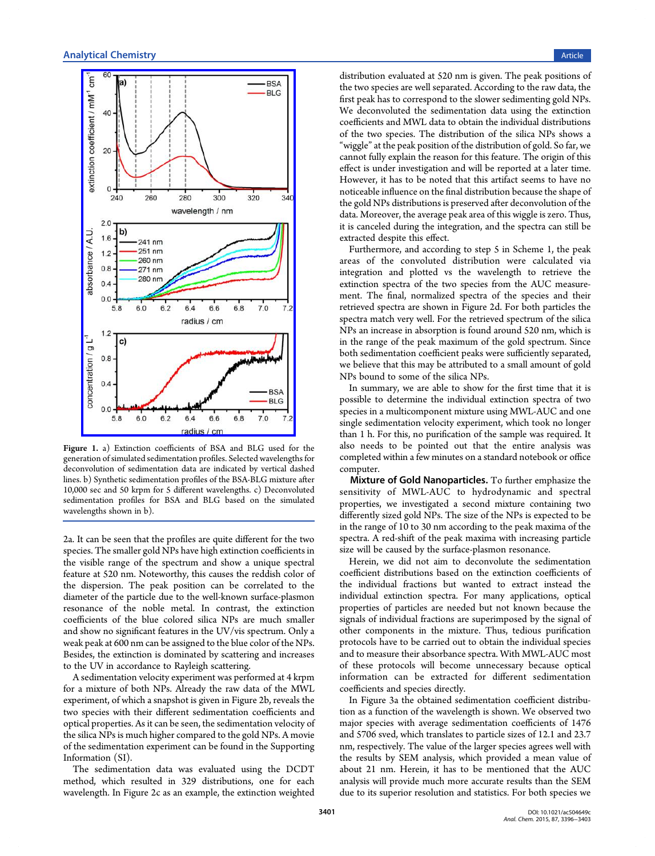<span id="page-5-0"></span>

Figure 1. a) Extinction coeffi[cients of BSA and BLG used fo](http://pubs.acs.org/action/showImage?doi=10.1021/ac504649c&iName=master.img-002.jpg&w=199&h=345)r the generation of simulated sedimentation profiles. Selected wavelengths for deconvolution of sedimentation data are indicated by vertical dashed lines. b) Synthetic sedimentation profiles of the BSA-BLG mixture after 10,000 sec and 50 krpm for 5 different wavelengths. c) Deconvoluted sedimentation profiles for BSA and BLG based on the simulated wavelengths shown in b).

2a. It can be seen that the profiles are quite different for the two species. The smaller gold NPs have high extinction coefficients in [th](#page-6-0)e visible range of the spectrum and show a unique spectral feature at 520 nm. Noteworthy, this causes the reddish color of the dispersion. The peak position can be correlated to the diameter of the particle due to the well-known surface-plasmon resonance of the noble metal. In contrast, the extinction coefficients of the blue colored silica NPs are much smaller and show no significant features in the UV/vis spectrum. Only a weak peak at 600 nm can be assigned to the blue color of the NPs. Besides, the extinction is dominated by scattering and increases to the UV in accordance to Rayleigh scattering.

A sedimentation velocity experiment was performed at 4 krpm for a mixture of both NPs. Already the raw data of the MWL experiment, of which a snapshot is given in Figure 2b, reveals the two species with their different sedimentation coefficients and optical properties. As it can be seen, the sedimenta[tio](#page-6-0)n velocity of the silica NPs is much higher compared to the gold NPs. A movie of the sedimentation experiment can be found in the Supporting Information (SI).

The sedimentation data was evaluated using [the DCDT](#page-7-0) [method, wh](#page-7-0)ich resulted in 329 distributions, one for each wavelength. In Figure 2c as an example, the extinction weighted distribution evaluated at 520 nm is given. The peak positions of the two species are well separated. According to the raw data, the first peak has to correspond to the slower sedimenting gold NPs. We deconvoluted the sedimentation data using the extinction coefficients and MWL data to obtain the individual distributions of the two species. The distribution of the silica NPs shows a "wiggle"at the peak position of the distribution of gold. So far, we cannot fully explain the reason for this feature. The origin of this effect is under investigation and will be reported at a later time. However, it has to be noted that this artifact seems to have no noticeable influence on the final distribution because the shape of the gold NPs distributions is preserved after deconvolution of the data. Moreover, the average peak area of this wiggle is zero. Thus, it is canceled during the integration, and the spectra can still be extracted despite this effect.

Furthermore, and according to step 5 in Scheme 1, the peak areas of the convoluted distribution were calculated via integration and plotted vs the wavelength to r[et](#page-2-0)rieve the extinction spectra of the two species from the AUC measurement. The final, normalized spectra of the species and their retrieved spectra are shown in Figure 2d. For both particles the spectra match very well. For the retrieved spectrum of the silica NPs an increase in absorption is foun[d a](#page-6-0)round 520 nm, which is in the range of the peak maximum of the gold spectrum. Since both sedimentation coefficient peaks were sufficiently separated, we believe that this may be attributed to a small amount of gold NPs bound to some of the silica NPs.

In summary, we are able to show for the first time that it is possible to determine the individual extinction spectra of two species in a multicomponent mixture using MWL-AUC and one single sedimentation velocity experiment, which took no longer than 1 h. For this, no purification of the sample was required. It also needs to be pointed out that the entire analysis was completed within a few minutes on a standard notebook or office computer.

Mixture of Gold Nanoparticles. To further emphasize the sensitivity of MWL-AUC to hydrodynamic and spectral properties, we investigated a second mixture containing two differently sized gold NPs. The size of the NPs is expected to be in the range of 10 to 30 nm according to the peak maxima of the spectra. A red-shift of the peak maxima with increasing particle size will be caused by the surface-plasmon resonance.

Herein, we did not aim to deconvolute the sedimentation coefficient distributions based on the extinction coefficients of the individual fractions but wanted to extract instead the individual extinction spectra. For many applications, optical properties of particles are needed but not known because the signals of individual fractions are superimposed by the signal of other components in the mixture. Thus, tedious purification protocols have to be carried out to obtain the individual species and to measure their absorbance spectra. With MWL-AUC most of these protocols will become unnecessary because optical information can be extracted for different sedimentation coefficients and species directly.

In Figure 3a the obtained sedimentation coefficient distribution as a function of the wavelength is shown. We observed two major speci[es](#page-7-0) with average sedimentation coefficients of 1476 and 5706 sved, which translates to particle sizes of 12.1 and 23.7 nm, respectively. The value of the larger species agrees well with the results by SEM analysis, which provided a mean value of about 21 nm. Herein, it has to be mentioned that the AUC analysis will provide much more accurate results than the SEM due to its superior resolution and statistics. For both species we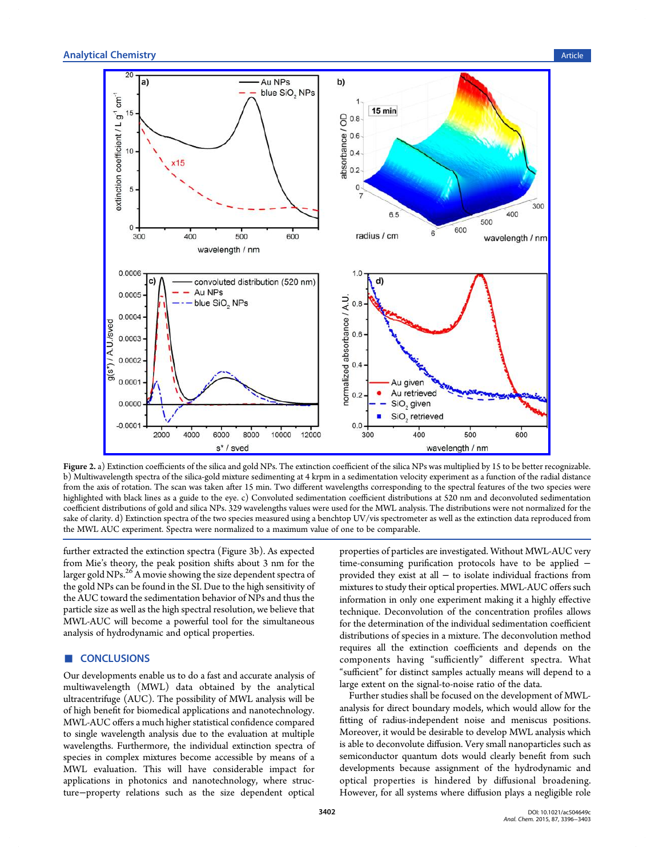<span id="page-6-0"></span>

Figure 2. a) Extinction coefficients of the silica and gold NPs. The extinction coefficient of the silica NPs was multiplied by 15 to be better recognizable. b) Multiwa[velength spectra of the silica-gold mixture sedimenting at 4 krpm in a sedimentation velocity experiment as a function of the rad](http://pubs.acs.org/action/showImage?doi=10.1021/ac504649c&iName=master.img-003.jpg&w=421&h=363)ial distance from the axis of rotation. The scan was taken after 15 min. Two different wavelengths corresponding to the spectral features of the two species were highlighted with black lines as a guide to the eye. c) Convoluted sedimentation coefficient distributions at 520 nm and deconvoluted sedimentation coefficient distributions of gold and silica NPs. 329 wavelengths values were used for the MWL analysis. The distributions were not normalized for the sake of clarity. d) Extinction spectra of the two species measured using a benchtop UV/vis spectrometer as well as the extinction data reproduced from the MWL AUC experiment. Spectra were normalized to a maximum value of one to be comparable.

further extracted the extinction spectra (Figure 3b). As expected from Mie's theory, the peak position shifts about 3 nm for the larger gold NPs.<sup>26</sup> A movie showing the size dep[en](#page-7-0)dent spectra of the gold NPs can be found in the SI. Due to the high sensitivity of the AUC towar[d th](#page-7-0)e sedimentation behavior of NPs and thus the particle size as well as the high sp[ect](#page-7-0)ral resolution, we believe that MWL-AUC will become a powerful tool for the simultaneous analysis of hydrodynamic and optical properties.

## **CONCLUSIONS**

Our developments enable us to do a fast and accurate analysis of multiwavelength (MWL) data obtained by the analytical ultracentrifuge (AUC). The possibility of MWL analysis will be of high benefit for biomedical applications and nanotechnology. MWL-AUC offers a much higher statistical confidence compared to single wavelength analysis due to the evaluation at multiple wavelengths. Furthermore, the individual extinction spectra of species in complex mixtures become accessible by means of a MWL evaluation. This will have considerable impact for applications in photonics and nanotechnology, where structure−property relations such as the size dependent optical

properties of particles are investigated. Without MWL-AUC very time-consuming purification protocols have to be applied − provided they exist at all − to isolate individual fractions from mixtures to study their optical properties. MWL-AUC offers such information in only one experiment making it a highly effective technique. Deconvolution of the concentration profiles allows for the determination of the individual sedimentation coefficient distributions of species in a mixture. The deconvolution method requires all the extinction coefficients and depends on the components having "sufficiently" different spectra. What "sufficient" for distinct samples actually means will depend to a large extent on the signal-to-noise ratio of the data.

Further studies shall be focused on the development of MWLanalysis for direct boundary models, which would allow for the fitting of radius-independent noise and meniscus positions. Moreover, it would be desirable to develop MWL analysis which is able to deconvolute diffusion. Very small nanoparticles such as semiconductor quantum dots would clearly benefit from such developments because assignment of the hydrodynamic and optical properties is hindered by diffusional broadening. However, for all systems where diffusion plays a negligible role